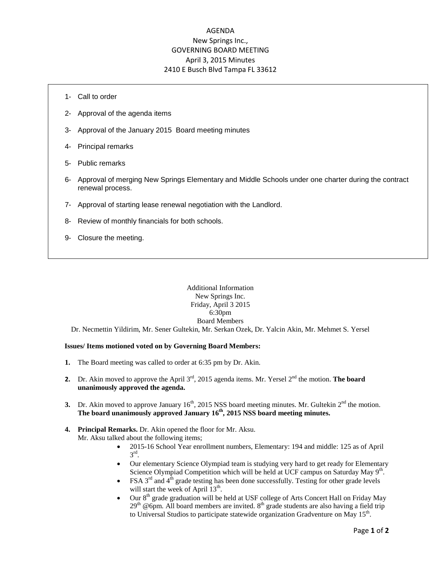# AGENDA New Springs Inc., GOVERNING BOARD MEETING April 3, 2015 Minutes 2410 E Busch Blvd Tampa FL 33612

- 1- Call to order
- 2- Approval of the agenda items
- 3- Approval of the January 2015 Board meeting minutes
- 4- Principal remarks
- 5- Public remarks
- 6- Approval of merging New Springs Elementary and Middle Schools under one charter during the contract renewal process.
- 7- Approval of starting lease renewal negotiation with the Landlord.
- 8- Review of monthly financials for both schools.
- 9- Closure the meeting.

## Additional Information New Springs Inc. Friday, April 3 2015 6:30pm Board Members

Dr. Necmettin Yildirim, Mr. Sener Gultekin, Mr. Serkan Ozek, Dr. Yalcin Akin, Mr. Mehmet S. Yersel

#### **Issues/ Items motioned voted on by Governing Board Members:**

- **1.** The Board meeting was called to order at 6:35 pm by Dr. Akin.
- **2.** Dr. Akin moved to approve the April 3<sup>rd</sup>, 2015 agenda items. Mr. Yersel 2<sup>nd</sup> the motion. **The board unanimously approved the agenda.**
- **3.** Dr. Akin moved to approve January  $16<sup>th</sup>$ , 2015 NSS board meeting minutes. Mr. Gultekin  $2<sup>nd</sup>$  the motion. **The board unanimously approved January 16 th, 2015 NSS board meeting minutes.**

## **4. Principal Remarks.** Dr. Akin opened the floor for Mr. Aksu. Mr. Aksu talked about the following items;

- 2015-16 School Year enrollment numbers, Elementary: 194 and middle: 125 as of April  $3<sup>rd</sup>$ .
- Our elementary Science Olympiad team is studying very hard to get ready for Elementary Science Olympiad Competition which will be held at UCF campus on Saturday May 9<sup>th</sup>.
- FSA  $3<sup>rd</sup>$  and  $4<sup>th</sup>$  grade testing has been done successfully. Testing for other grade levels will start the week of April  $13<sup>th</sup>$ .
- $\bullet$  Our  $8<sup>th</sup>$  grade graduation will be held at USF college of Arts Concert Hall on Friday May  $29<sup>th</sup>$  @6pm. All board members are invited.  $8<sup>th</sup>$  grade students are also having a field trip to Universal Studios to participate statewide organization Gradventure on May  $15<sup>th</sup>$ .